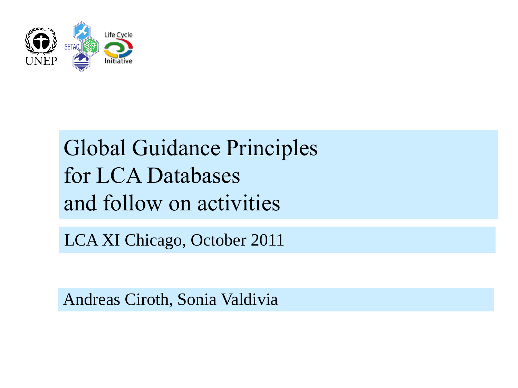

## Global Guidance Principles for LCA Databases and follow on activities

LCA XI Chicago, October 2011

Andreas Ciroth, Sonia Valdivia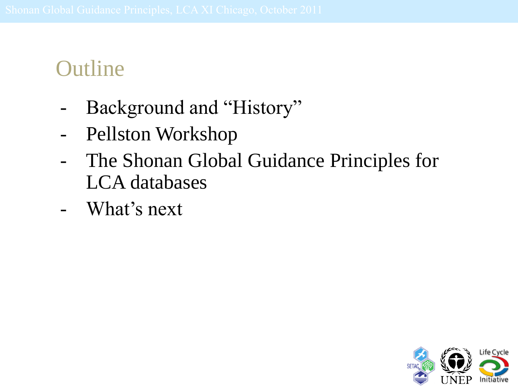### **Outline**

- Background and "History"
- Pellston Workshop
- The Shonan Global Guidance Principles for LCA databases
- What's next

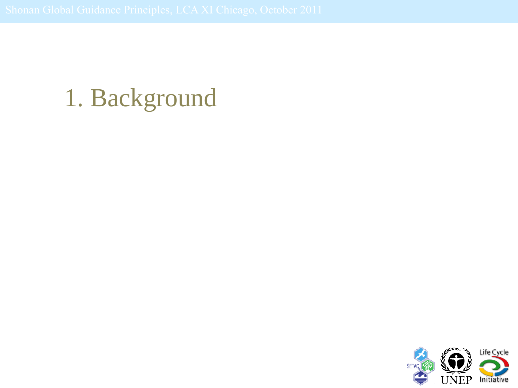# 1. Background

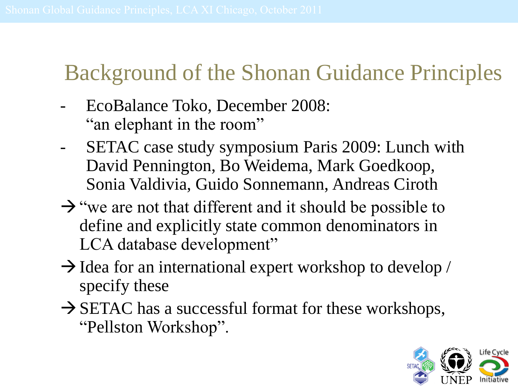## Background of the Shonan Guidance Principles

- EcoBalance Toko, December 2008: "an elephant in the room"
- SETAC case study symposium Paris 2009: Lunch with David Pennington, Bo Weidema, Mark Goedkoop, Sonia Valdivia, Guido Sonnemann, Andreas Ciroth
- $\rightarrow$  "we are not that different and it should be possible to define and explicitly state common denominators in LCA database development"
- $\rightarrow$  Idea for an international expert workshop to develop / specify these
- $\rightarrow$  SETAC has a successful format for these workshops, "Pellston Workshop".

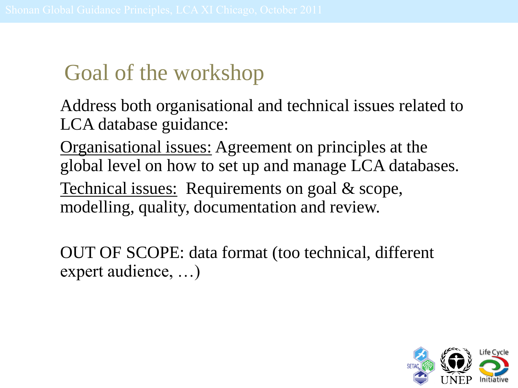## Goal of the workshop

Address both organisational and technical issues related to LCA database guidance:

Organisational issues: Agreement on principles at the global level on how to set up and manage LCA databases. Technical issues: Requirements on goal & scope, modelling, quality, documentation and review.

OUT OF SCOPE: data format (too technical, different expert audience, …)

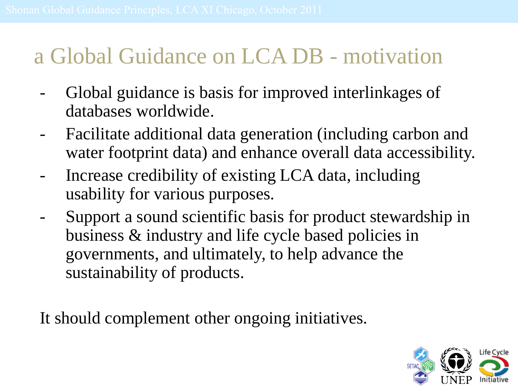### a Global Guidance on LCA DB - motivation

- Global guidance is basis for improved interlinkages of databases worldwide.
- Facilitate additional data generation (including carbon and water footprint data) and enhance overall data accessibility.
- Increase credibility of existing LCA data, including usability for various purposes.
- Support a sound scientific basis for product stewardship in business & industry and life cycle based policies in governments, and ultimately, to help advance the sustainability of products.

It should complement other ongoing initiatives.

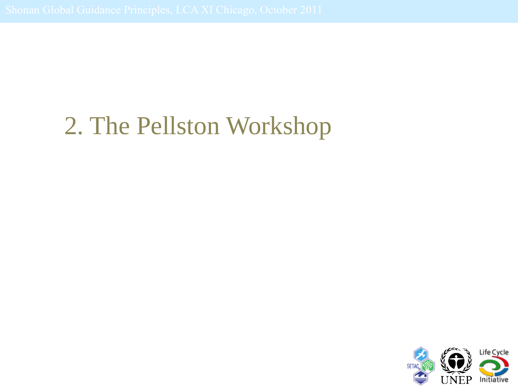# 2. The Pellston Workshop

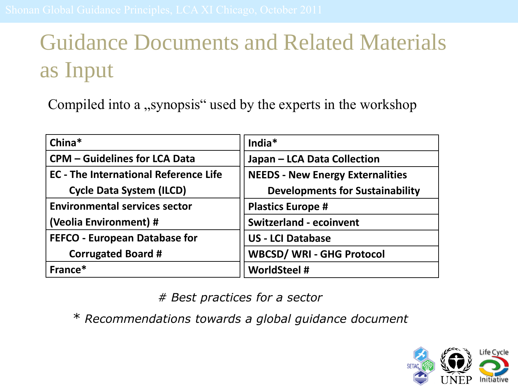## Guidance Documents and Related Materials as Input

Compiled into a ,, synopsis " used by the experts in the workshop

| China*                                       | India*                                  |
|----------------------------------------------|-----------------------------------------|
| <b>CPM - Guidelines for LCA Data</b>         | Japan - LCA Data Collection             |
| <b>EC</b> - The International Reference Life | <b>NEEDS - New Energy Externalities</b> |
| <b>Cycle Data System (ILCD)</b>              | <b>Developments for Sustainability</b>  |
| <b>Environmental services sector</b>         | <b>Plastics Europe #</b>                |
| (Veolia Environment) #                       | <b>Switzerland - ecoinvent</b>          |
| <b>FEFCO - European Database for</b>         | <b>US - LCI Database</b>                |
| <b>Corrugated Board #</b>                    | <b>WBCSD/ WRI - GHG Protocol</b>        |
| France*                                      | <b>WorldSteel #</b>                     |

*# Best practices for a sector*

*\* Recommendations towards a global guidance document*

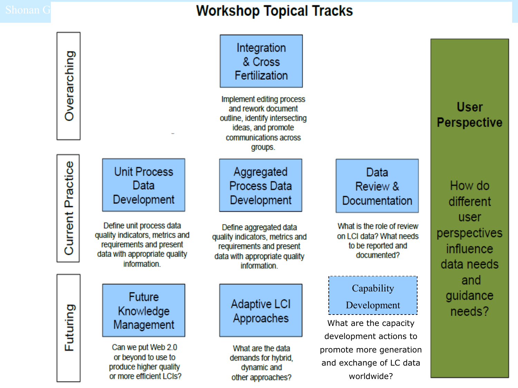#### Shonan Guidance Principles, LCA Chicago, Chicago, Chicago, Chicago, Chicago, October 2012

Overarching

| Overarching             |                                                   |                                                                                                                                          |                                                                                                                                              | Integration<br>& Cross<br>Fertilization                                                                                                |  |                                                                                            |  |  |
|-------------------------|---------------------------------------------------|------------------------------------------------------------------------------------------------------------------------------------------|----------------------------------------------------------------------------------------------------------------------------------------------|----------------------------------------------------------------------------------------------------------------------------------------|--|--------------------------------------------------------------------------------------------|--|--|
|                         |                                                   |                                                                                                                                          | Implement editing process<br>and rework document<br>outline, identify intersecting<br>ideas, and promote<br>communications across<br>groups. |                                                                                                                                        |  |                                                                                            |  |  |
| <b>Current Practice</b> |                                                   | <b>Unit Process</b><br>Data<br>Development                                                                                               |                                                                                                                                              | Aggregated<br><b>Process Data</b><br>Development                                                                                       |  | Data<br>Review &<br>Documentation                                                          |  |  |
|                         |                                                   | Define unit process data<br>quality indicators, metrics and<br>requirements and present<br>data with appropriate quality<br>information. |                                                                                                                                              | Define aggregated data<br>quality indicators, metrics and<br>requirements and present<br>data with appropriate quality<br>information. |  | What is the role of review<br>on LCI data? What needs<br>to be reported and<br>documented? |  |  |
| Futuring                |                                                   | <b>Future</b><br>Knowledge                                                                                                               |                                                                                                                                              | <b>Adaptive LCI</b><br>Approaches                                                                                                      |  | Capability                                                                                 |  |  |
|                         |                                                   |                                                                                                                                          |                                                                                                                                              |                                                                                                                                        |  | Development                                                                                |  |  |
|                         |                                                   | Management                                                                                                                               |                                                                                                                                              |                                                                                                                                        |  | What are the capacity<br>development actions to                                            |  |  |
|                         |                                                   | Can we put Web 2.0<br>or beyond to use to                                                                                                |                                                                                                                                              | What are the data<br>demands for hybrid,<br>dynamic and<br>other approaches?                                                           |  | promote more generation<br>and exchange of LC data<br>worldwide?                           |  |  |
|                         | produce higher quality<br>or more efficient LCIs? |                                                                                                                                          |                                                                                                                                              |                                                                                                                                        |  |                                                                                            |  |  |
|                         |                                                   |                                                                                                                                          |                                                                                                                                              |                                                                                                                                        |  |                                                                                            |  |  |

**User Perspective** 

How do different user perspectives influence data needs and guidance needs?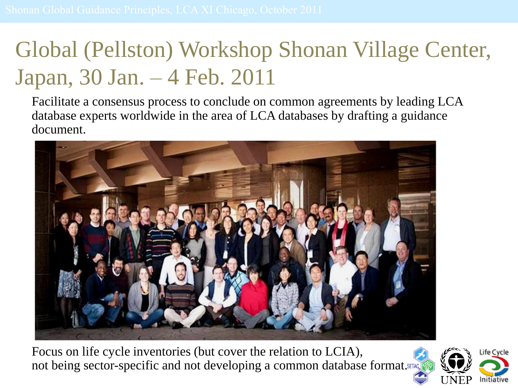## Global (Pellston) Workshop Shonan Village Center, Japan, 30 Jan. – 4 Feb. 2011

Facilitate a consensus process to conclude on common agreements by leading LCA database experts worldwide in the area of LCA databases by drafting a guidance document.



Focus on life cycle inventories (but cover the relation to LCIA), not being sector-specific and not developing a common database format.

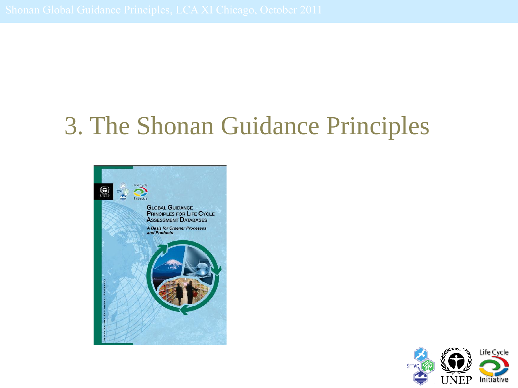# 3. The Shonan Guidance Principles



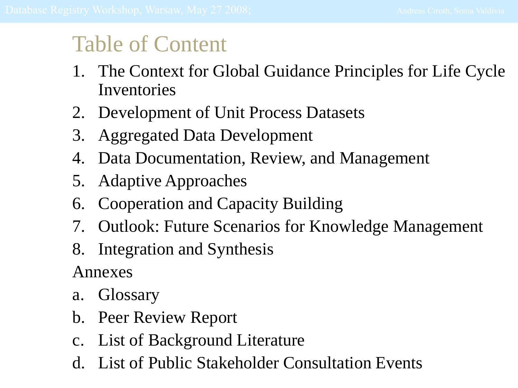#### Table of Content

- 1. The Context for Global Guidance Principles for Life Cycle Inventories
- 2. Development of Unit Process Datasets
- 3. Aggregated Data Development
- 4. Data Documentation, Review, and Management
- 5. Adaptive Approaches
- 6. Cooperation and Capacity Building
- 7. Outlook: Future Scenarios for Knowledge Management
- 8. Integration and Synthesis

Annexes

- a. Glossary
- b. Peer Review Report
- c. List of Background Literature
- d. List of Public Stakeholder Consultation Events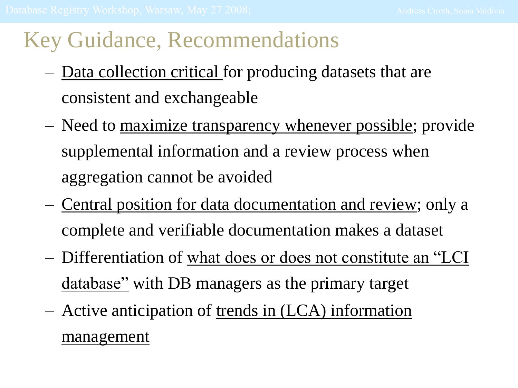#### Key Guidance, Recommendations

- Data collection critical for producing datasets that are consistent and exchangeable
- Need to maximize transparency whenever possible; provide supplemental information and a review process when aggregation cannot be avoided
- Central position for data documentation and review; only a complete and verifiable documentation makes a dataset
- Differentiation of what does or does not constitute an "LCI database" with DB managers as the primary target
- Active anticipation of trends in (LCA) information management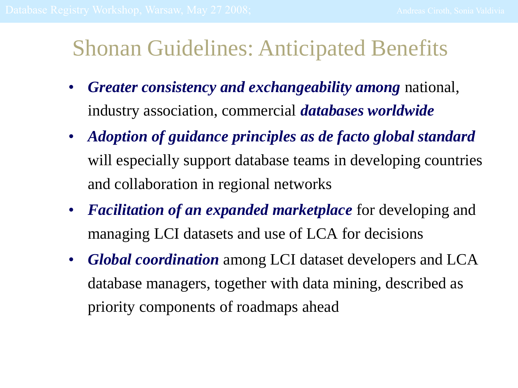#### Shonan Guidelines: Anticipated Benefits

- *Greater consistency and exchangeability among* national, industry association, commercial *databases worldwide*
- *Adoption of guidance principles as de facto global standard*  will especially support database teams in developing countries and collaboration in regional networks
- *Facilitation of an expanded marketplace* for developing and managing LCI datasets and use of LCA for decisions
- *Global coordination* among LCI dataset developers and LCA database managers, together with data mining, described as priority components of roadmaps ahead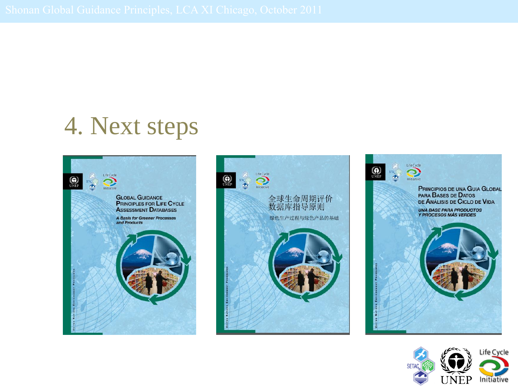## 4. Next steps







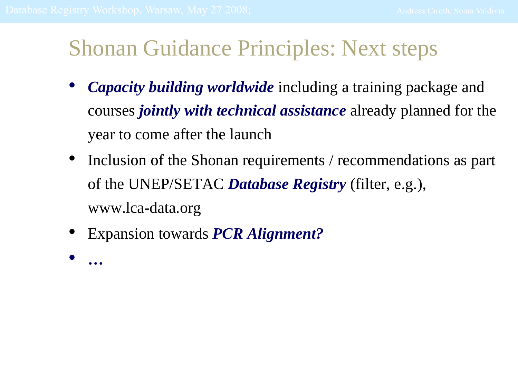#### Shonan Guidance Principles: Next steps

- *Capacity building worldwide* including a training package and courses *jointly with technical assistance* already planned for the year to come after the launch
- Inclusion of the Shonan requirements / recommendations as part of the UNEP/SETAC *Database Registry* (filter, e.g.), www.lca-data.org
- Expansion towards *PCR Alignment?*
- *…*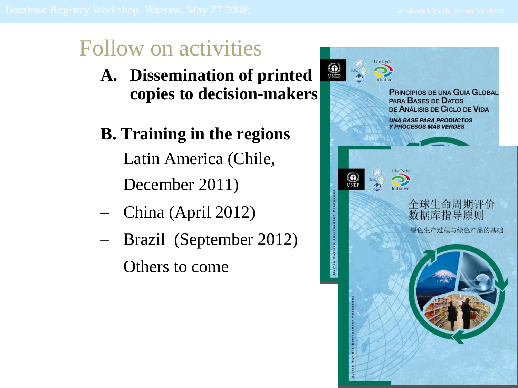## Follow on activities

- **A. Dissemination of printed copies to decision-makers**
- **B. Training in the regions**
- Latin America (Chile, December 2011)
- China (April 2012)
- Brazil (September 2012)
- Others to come

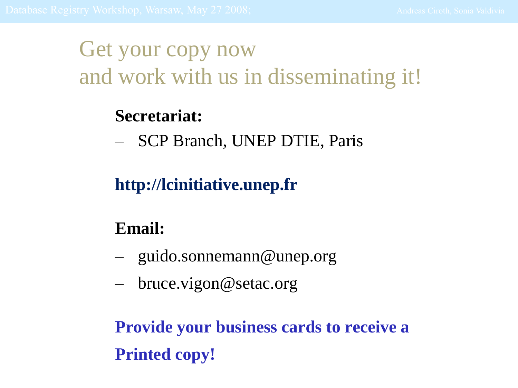### Get your copy now and work with us in disseminating it!

#### **Secretariat:**

– SCP Branch, UNEP DTIE, Paris

#### **http://lcinitiative.unep.fr**

#### **Email:**

- guido.sonnemann@unep.org
- bruce.vigon@setac.org

**Provide your business cards to receive a Printed copy!**